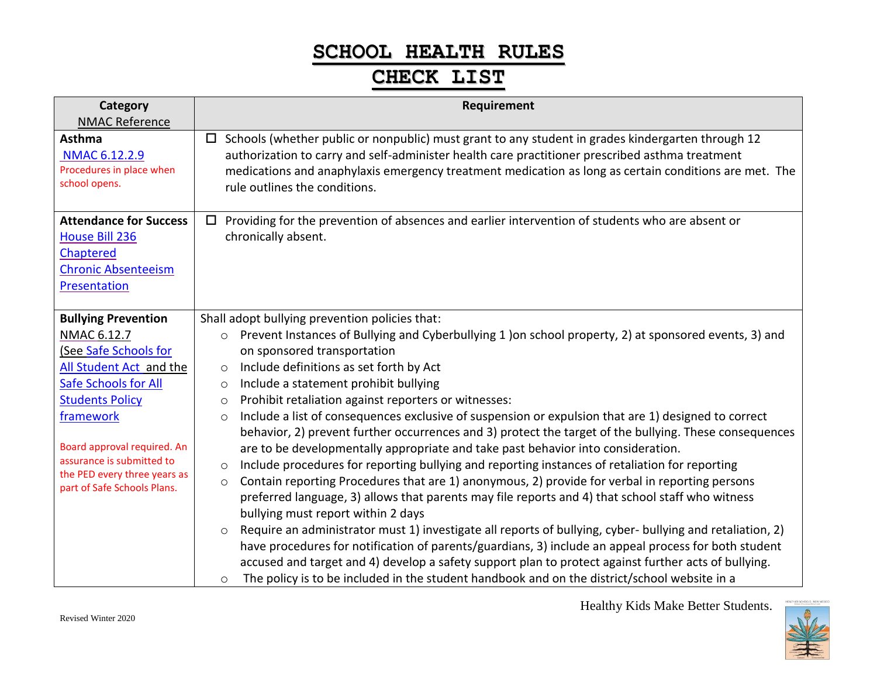# **SCHOOL HEALTH RULES**

# **CHECK LIST**

| Category<br><b>NMAC Reference</b>                                                                                                                                                                                                                                                              | Requirement                                                                                                                                                                                                                                                                                                                                                                                                                                                                                                                                                                                                                                                                                                                                                                                                                                                                                                                                                                                                                                                                                                                                                                                                                                                                                   |
|------------------------------------------------------------------------------------------------------------------------------------------------------------------------------------------------------------------------------------------------------------------------------------------------|-----------------------------------------------------------------------------------------------------------------------------------------------------------------------------------------------------------------------------------------------------------------------------------------------------------------------------------------------------------------------------------------------------------------------------------------------------------------------------------------------------------------------------------------------------------------------------------------------------------------------------------------------------------------------------------------------------------------------------------------------------------------------------------------------------------------------------------------------------------------------------------------------------------------------------------------------------------------------------------------------------------------------------------------------------------------------------------------------------------------------------------------------------------------------------------------------------------------------------------------------------------------------------------------------|
| <b>Asthma</b><br>NMAC 6.12.2.9<br>Procedures in place when<br>school opens.                                                                                                                                                                                                                    | Schools (whether public or nonpublic) must grant to any student in grades kindergarten through 12<br>$\Box$<br>authorization to carry and self-administer health care practitioner prescribed asthma treatment<br>medications and anaphylaxis emergency treatment medication as long as certain conditions are met. The<br>rule outlines the conditions.                                                                                                                                                                                                                                                                                                                                                                                                                                                                                                                                                                                                                                                                                                                                                                                                                                                                                                                                      |
| <b>Attendance for Success</b><br><b>House Bill 236</b><br>Chaptered<br><b>Chronic Absenteeism</b><br><b>Presentation</b>                                                                                                                                                                       | Providing for the prevention of absences and earlier intervention of students who are absent or<br>$\Box$<br>chronically absent.                                                                                                                                                                                                                                                                                                                                                                                                                                                                                                                                                                                                                                                                                                                                                                                                                                                                                                                                                                                                                                                                                                                                                              |
| <b>Bullying Prevention</b><br>NMAC 6.12.7<br>(See Safe Schools for<br>All Student Act and the<br><b>Safe Schools for All</b><br><b>Students Policy</b><br>framework<br>Board approval required. An<br>assurance is submitted to<br>the PED every three years as<br>part of Safe Schools Plans. | Shall adopt bullying prevention policies that:<br>Prevent Instances of Bullying and Cyberbullying 1 ) on school property, 2) at sponsored events, 3) and<br>O<br>on sponsored transportation<br>Include definitions as set forth by Act<br>$\circ$<br>Include a statement prohibit bullying<br>$\circ$<br>Prohibit retaliation against reporters or witnesses:<br>$\circ$<br>Include a list of consequences exclusive of suspension or expulsion that are 1) designed to correct<br>$\circ$<br>behavior, 2) prevent further occurrences and 3) protect the target of the bullying. These consequences<br>are to be developmentally appropriate and take past behavior into consideration.<br>Include procedures for reporting bullying and reporting instances of retaliation for reporting<br>$\circ$<br>Contain reporting Procedures that are 1) anonymous, 2) provide for verbal in reporting persons<br>$\circ$<br>preferred language, 3) allows that parents may file reports and 4) that school staff who witness<br>bullying must report within 2 days<br>Require an administrator must 1) investigate all reports of bullying, cyber- bullying and retaliation, 2)<br>$\circ$<br>have procedures for notification of parents/guardians, 3) include an appeal process for both student |
|                                                                                                                                                                                                                                                                                                | accused and target and 4) develop a safety support plan to protect against further acts of bullying.<br>The policy is to be included in the student handbook and on the district/school website in a<br>$\circ$                                                                                                                                                                                                                                                                                                                                                                                                                                                                                                                                                                                                                                                                                                                                                                                                                                                                                                                                                                                                                                                                               |

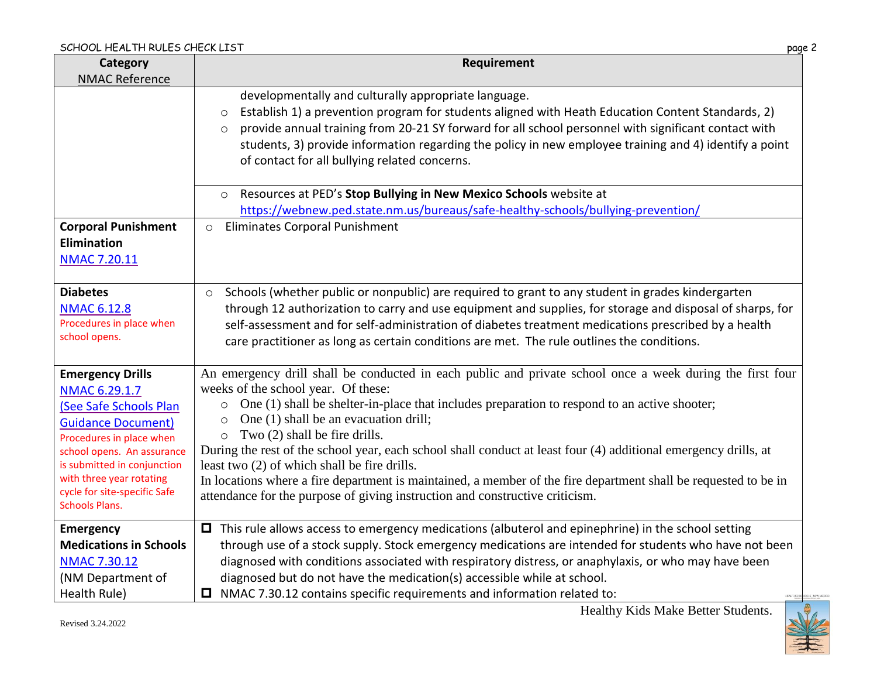| Category                                                                                                                                                                                                                                           | Requirement                                                                                                                                                                                                                                                                                                                                                                                                                                                                                                                                                                                                    |
|----------------------------------------------------------------------------------------------------------------------------------------------------------------------------------------------------------------------------------------------------|----------------------------------------------------------------------------------------------------------------------------------------------------------------------------------------------------------------------------------------------------------------------------------------------------------------------------------------------------------------------------------------------------------------------------------------------------------------------------------------------------------------------------------------------------------------------------------------------------------------|
| <b>NMAC Reference</b>                                                                                                                                                                                                                              |                                                                                                                                                                                                                                                                                                                                                                                                                                                                                                                                                                                                                |
|                                                                                                                                                                                                                                                    | developmentally and culturally appropriate language.<br>Establish 1) a prevention program for students aligned with Heath Education Content Standards, 2)<br>$\circ$<br>provide annual training from 20-21 SY forward for all school personnel with significant contact with<br>$\circ$<br>students, 3) provide information regarding the policy in new employee training and 4) identify a point<br>of contact for all bullying related concerns.                                                                                                                                                             |
|                                                                                                                                                                                                                                                    | Resources at PED's Stop Bullying in New Mexico Schools website at<br>$\circ$                                                                                                                                                                                                                                                                                                                                                                                                                                                                                                                                   |
|                                                                                                                                                                                                                                                    | https://webnew.ped.state.nm.us/bureaus/safe-healthy-schools/bullying-prevention/                                                                                                                                                                                                                                                                                                                                                                                                                                                                                                                               |
| <b>Corporal Punishment</b><br><b>Elimination</b><br><b>NMAC 7.20.11</b>                                                                                                                                                                            | Eliminates Corporal Punishment<br>$\circ$                                                                                                                                                                                                                                                                                                                                                                                                                                                                                                                                                                      |
| <b>Diabetes</b>                                                                                                                                                                                                                                    | Schools (whether public or nonpublic) are required to grant to any student in grades kindergarten<br>$\circ$                                                                                                                                                                                                                                                                                                                                                                                                                                                                                                   |
| <b>NMAC 6.12.8</b><br>Procedures in place when<br>school opens.                                                                                                                                                                                    | through 12 authorization to carry and use equipment and supplies, for storage and disposal of sharps, for<br>self-assessment and for self-administration of diabetes treatment medications prescribed by a health<br>care practitioner as long as certain conditions are met. The rule outlines the conditions.                                                                                                                                                                                                                                                                                                |
| <b>Emergency Drills</b>                                                                                                                                                                                                                            | An emergency drill shall be conducted in each public and private school once a week during the first four                                                                                                                                                                                                                                                                                                                                                                                                                                                                                                      |
| NMAC 6.29.1.7<br>(See Safe Schools Plan<br><b>Guidance Document)</b><br>Procedures in place when<br>school opens. An assurance<br>is submitted in conjunction<br>with three year rotating<br>cycle for site-specific Safe<br><b>Schools Plans.</b> | weeks of the school year. Of these:<br>$\circ$ One (1) shall be shelter-in-place that includes preparation to respond to an active shooter;<br>One (1) shall be an evacuation drill;<br>$\circ$<br>$\circ$ Two (2) shall be fire drills.<br>During the rest of the school year, each school shall conduct at least four (4) additional emergency drills, at<br>least two (2) of which shall be fire drills.<br>In locations where a fire department is maintained, a member of the fire department shall be requested to be in<br>attendance for the purpose of giving instruction and constructive criticism. |
| <b>Emergency</b>                                                                                                                                                                                                                                   | $\Box$ This rule allows access to emergency medications (albuterol and epinephrine) in the school setting                                                                                                                                                                                                                                                                                                                                                                                                                                                                                                      |
| <b>Medications in Schools</b>                                                                                                                                                                                                                      | through use of a stock supply. Stock emergency medications are intended for students who have not been                                                                                                                                                                                                                                                                                                                                                                                                                                                                                                         |
| <b>NMAC 7.30.12</b>                                                                                                                                                                                                                                | diagnosed with conditions associated with respiratory distress, or anaphylaxis, or who may have been                                                                                                                                                                                                                                                                                                                                                                                                                                                                                                           |
| (NM Department of                                                                                                                                                                                                                                  | diagnosed but do not have the medication(s) accessible while at school.                                                                                                                                                                                                                                                                                                                                                                                                                                                                                                                                        |
| Health Rule)                                                                                                                                                                                                                                       | $\Box$ NMAC 7.30.12 contains specific requirements and information related to:<br><b>HEALTHER SC</b>                                                                                                                                                                                                                                                                                                                                                                                                                                                                                                           |

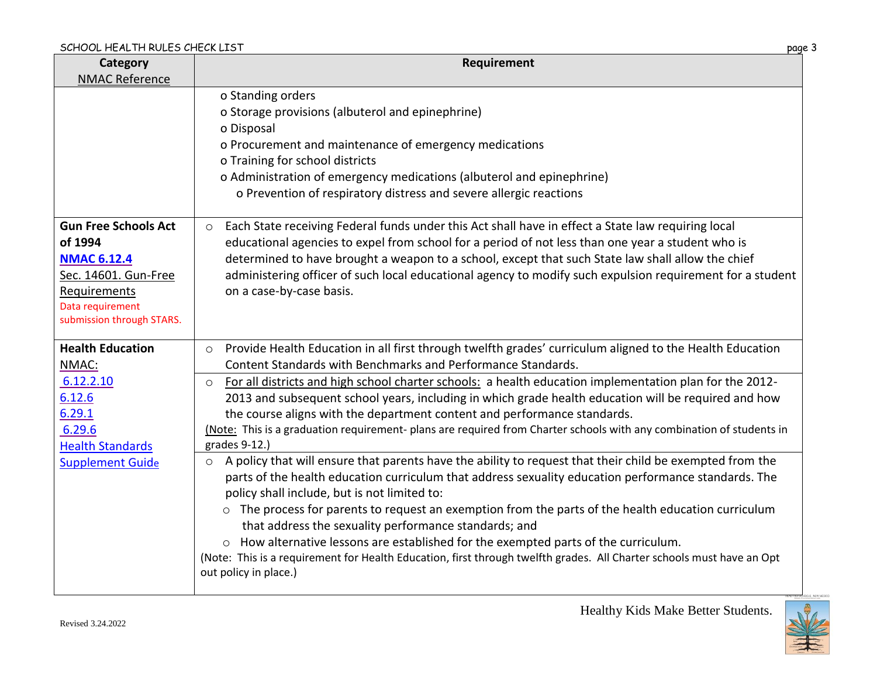| Category<br><b>NMAC Reference</b>                                                                                                                     | Requirement                                                                                                                                                                                                                                                                                                                                                                                                                                                                                                                                                                                                                                                                              |
|-------------------------------------------------------------------------------------------------------------------------------------------------------|------------------------------------------------------------------------------------------------------------------------------------------------------------------------------------------------------------------------------------------------------------------------------------------------------------------------------------------------------------------------------------------------------------------------------------------------------------------------------------------------------------------------------------------------------------------------------------------------------------------------------------------------------------------------------------------|
|                                                                                                                                                       | o Standing orders<br>o Storage provisions (albuterol and epinephrine)<br>o Disposal<br>o Procurement and maintenance of emergency medications<br>o Training for school districts<br>o Administration of emergency medications (albuterol and epinephrine)<br>o Prevention of respiratory distress and severe allergic reactions                                                                                                                                                                                                                                                                                                                                                          |
| <b>Gun Free Schools Act</b><br>of 1994<br><b>NMAC 6.12.4</b><br>Sec. 14601. Gun-Free<br>Requirements<br>Data requirement<br>submission through STARS. | Each State receiving Federal funds under this Act shall have in effect a State law requiring local<br>$\circ$<br>educational agencies to expel from school for a period of not less than one year a student who is<br>determined to have brought a weapon to a school, except that such State law shall allow the chief<br>administering officer of such local educational agency to modify such expulsion requirement for a student<br>on a case-by-case basis.                                                                                                                                                                                                                         |
| <b>Health Education</b><br>NMAC:                                                                                                                      | Provide Health Education in all first through twelfth grades' curriculum aligned to the Health Education<br>$\circ$<br>Content Standards with Benchmarks and Performance Standards.                                                                                                                                                                                                                                                                                                                                                                                                                                                                                                      |
| 6.12.2.10<br>6.12.6<br>6.29.1<br>6.29.6<br><b>Health Standards</b>                                                                                    | For all districts and high school charter schools: a health education implementation plan for the 2012-<br>$\circ$<br>2013 and subsequent school years, including in which grade health education will be required and how<br>the course aligns with the department content and performance standards.<br>(Note: This is a graduation requirement- plans are required from Charter schools with any combination of students in<br>grades 9-12.)                                                                                                                                                                                                                                          |
| <b>Supplement Guide</b>                                                                                                                               | A policy that will ensure that parents have the ability to request that their child be exempted from the<br>$\circ$<br>parts of the health education curriculum that address sexuality education performance standards. The<br>policy shall include, but is not limited to:<br>$\circ$ The process for parents to request an exemption from the parts of the health education curriculum<br>that address the sexuality performance standards; and<br>How alternative lessons are established for the exempted parts of the curriculum.<br>(Note: This is a requirement for Health Education, first through twelfth grades. All Charter schools must have an Opt<br>out policy in place.) |

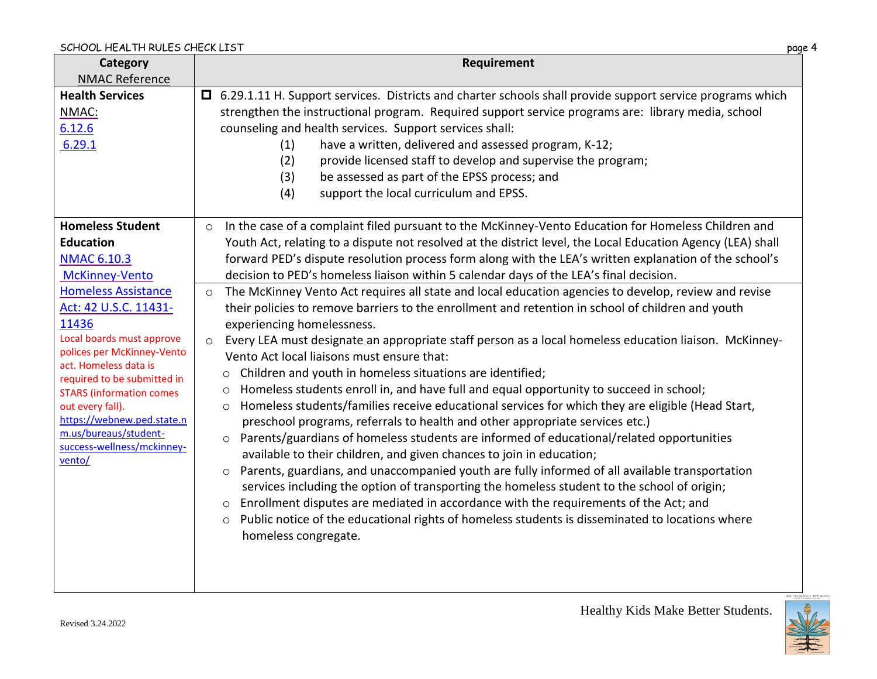| Category                                             | Requirement                                                                                                      |
|------------------------------------------------------|------------------------------------------------------------------------------------------------------------------|
| <b>NMAC Reference</b>                                |                                                                                                                  |
| <b>Health Services</b>                               | $\Box$ 6.29.1.11 H. Support services. Districts and charter schools shall provide support service programs which |
| NMAC:                                                | strengthen the instructional program. Required support service programs are: library media, school               |
| 6.12.6                                               | counseling and health services. Support services shall:                                                          |
| 6.29.1                                               | have a written, delivered and assessed program, K-12;<br>(1)                                                     |
|                                                      | (2)<br>provide licensed staff to develop and supervise the program;                                              |
|                                                      | (3)<br>be assessed as part of the EPSS process; and                                                              |
|                                                      | (4)<br>support the local curriculum and EPSS.                                                                    |
|                                                      |                                                                                                                  |
| <b>Homeless Student</b>                              | In the case of a complaint filed pursuant to the McKinney-Vento Education for Homeless Children and<br>$\circ$   |
| <b>Education</b>                                     | Youth Act, relating to a dispute not resolved at the district level, the Local Education Agency (LEA) shall      |
| <b>NMAC 6.10.3</b>                                   | forward PED's dispute resolution process form along with the LEA's written explanation of the school's           |
| McKinney-Vento                                       | decision to PED's homeless liaison within 5 calendar days of the LEA's final decision.                           |
| <b>Homeless Assistance</b>                           | The McKinney Vento Act requires all state and local education agencies to develop, review and revise<br>$\circ$  |
| Act: 42 U.S.C. 11431-                                | their policies to remove barriers to the enrollment and retention in school of children and youth                |
| 11436                                                | experiencing homelessness.                                                                                       |
| Local boards must approve                            | Every LEA must designate an appropriate staff person as a local homeless education liaison. McKinney-<br>$\circ$ |
| polices per McKinney-Vento                           | Vento Act local liaisons must ensure that:                                                                       |
| act. Homeless data is<br>required to be submitted in | Children and youth in homeless situations are identified;<br>$\circ$                                             |
| <b>STARS (information comes)</b>                     | Homeless students enroll in, and have full and equal opportunity to succeed in school;<br>$\circ$                |
| out every fall).                                     | Homeless students/families receive educational services for which they are eligible (Head Start,<br>$\circ$      |
| https://webnew.ped.state.n                           | preschool programs, referrals to health and other appropriate services etc.)                                     |
| m.us/bureaus/student-                                | Parents/guardians of homeless students are informed of educational/related opportunities<br>$\circ$              |
| success-wellness/mckinney-<br>vento/                 | available to their children, and given chances to join in education;                                             |
|                                                      | Parents, guardians, and unaccompanied youth are fully informed of all available transportation<br>$\circ$        |
|                                                      | services including the option of transporting the homeless student to the school of origin;                      |
|                                                      | Enrollment disputes are mediated in accordance with the requirements of the Act; and<br>$\circ$                  |
|                                                      | ○ Public notice of the educational rights of homeless students is disseminated to locations where                |
|                                                      | homeless congregate.                                                                                             |
|                                                      |                                                                                                                  |
|                                                      |                                                                                                                  |
|                                                      |                                                                                                                  |



W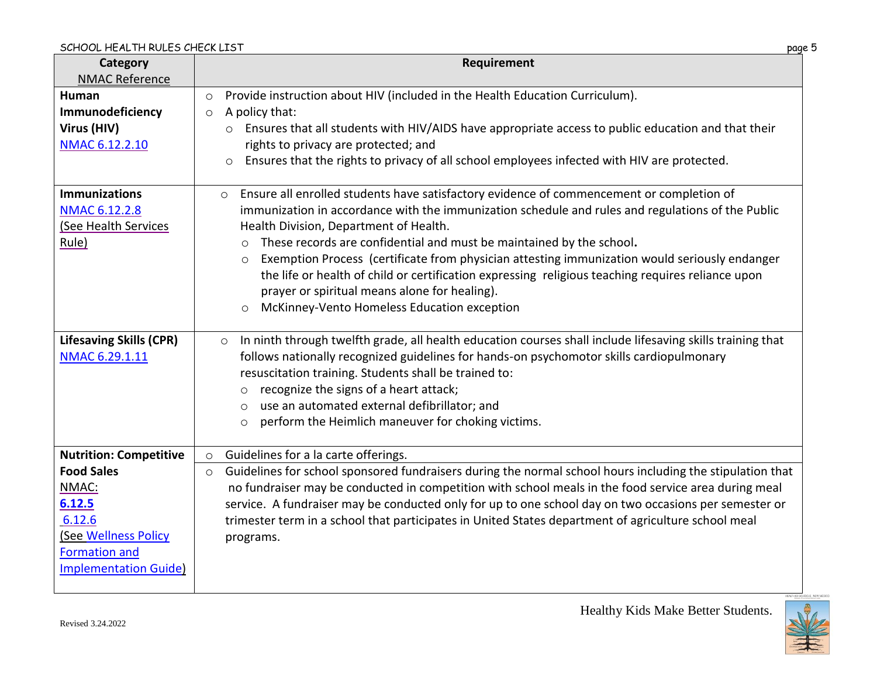| Category<br><b>NMAC Reference</b>                                                                                                                                     | Requirement                                                                                                                                                                                                                                                                                                                                                                                                                                                                                                                                                                                                                                                       |
|-----------------------------------------------------------------------------------------------------------------------------------------------------------------------|-------------------------------------------------------------------------------------------------------------------------------------------------------------------------------------------------------------------------------------------------------------------------------------------------------------------------------------------------------------------------------------------------------------------------------------------------------------------------------------------------------------------------------------------------------------------------------------------------------------------------------------------------------------------|
| <b>Human</b><br>Immunodeficiency<br>Virus (HIV)<br>NMAC 6.12.2.10                                                                                                     | Provide instruction about HIV (included in the Health Education Curriculum).<br>$\circ$<br>A policy that:<br>$\circ$<br>o Ensures that all students with HIV/AIDS have appropriate access to public education and that their<br>rights to privacy are protected; and<br>Ensures that the rights to privacy of all school employees infected with HIV are protected.                                                                                                                                                                                                                                                                                               |
| <b>Immunizations</b><br>NMAC 6.12.2.8<br><b>See Health Services</b><br>Rule)                                                                                          | Ensure all enrolled students have satisfactory evidence of commencement or completion of<br>$\circ$<br>immunization in accordance with the immunization schedule and rules and regulations of the Public<br>Health Division, Department of Health.<br>These records are confidential and must be maintained by the school.<br>$\circ$<br>Exemption Process (certificate from physician attesting immunization would seriously endanger<br>$\circ$<br>the life or health of child or certification expressing religious teaching requires reliance upon<br>prayer or spiritual means alone for healing).<br>McKinney-Vento Homeless Education exception<br>$\circ$ |
| <b>Lifesaving Skills (CPR)</b><br>NMAC 6.29.1.11                                                                                                                      | In ninth through twelfth grade, all health education courses shall include lifesaving skills training that<br>$\circ$<br>follows nationally recognized guidelines for hands-on psychomotor skills cardiopulmonary<br>resuscitation training. Students shall be trained to:<br>recognize the signs of a heart attack;<br>$\circ$<br>use an automated external defibrillator; and<br>$\circ$<br>perform the Heimlich maneuver for choking victims.<br>$\circ$                                                                                                                                                                                                       |
| <b>Nutrition: Competitive</b><br><b>Food Sales</b><br>NMAC:<br>6.12.5<br>6.12.6<br><b>See Wellness Policy</b><br><b>Formation and</b><br><b>Implementation Guide)</b> | Guidelines for a la carte offerings.<br>$\circ$<br>Guidelines for school sponsored fundraisers during the normal school hours including the stipulation that<br>$\circ$<br>no fundraiser may be conducted in competition with school meals in the food service area during meal<br>service. A fundraiser may be conducted only for up to one school day on two occasions per semester or<br>trimester term in a school that participates in United States department of agriculture school meal<br>programs.                                                                                                                                                      |

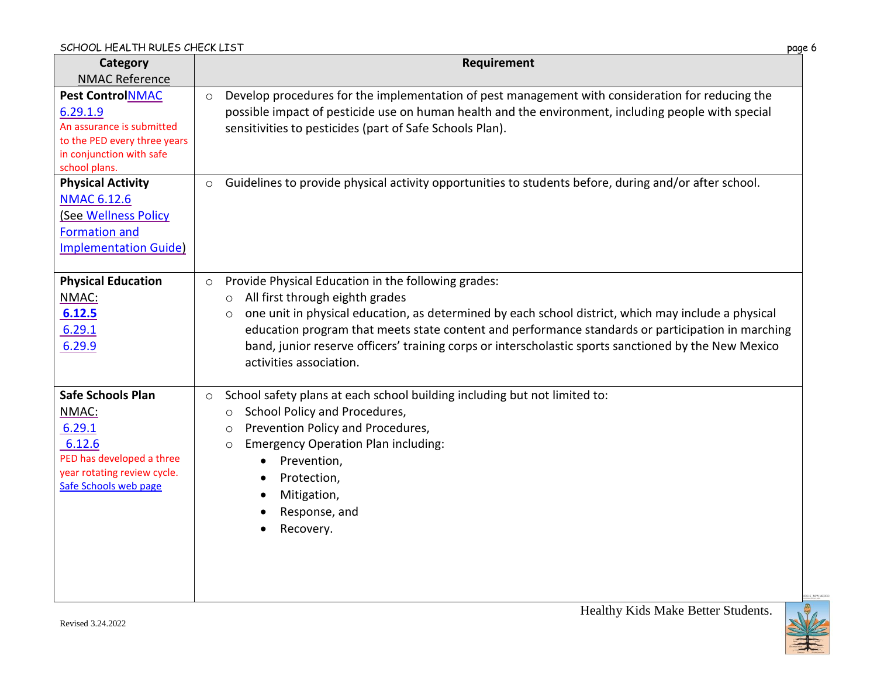| Category                                                                                                                                      | Requirement                                                                                                                                                                                                                                                                                                                                                                                                                                                            |
|-----------------------------------------------------------------------------------------------------------------------------------------------|------------------------------------------------------------------------------------------------------------------------------------------------------------------------------------------------------------------------------------------------------------------------------------------------------------------------------------------------------------------------------------------------------------------------------------------------------------------------|
| <b>NMAC Reference</b>                                                                                                                         |                                                                                                                                                                                                                                                                                                                                                                                                                                                                        |
| <b>Pest ControlNMAC</b><br>6.29.1.9<br>An assurance is submitted<br>to the PED every three years<br>in conjunction with safe<br>school plans. | Develop procedures for the implementation of pest management with consideration for reducing the<br>$\circ$<br>possible impact of pesticide use on human health and the environment, including people with special<br>sensitivities to pesticides (part of Safe Schools Plan).                                                                                                                                                                                         |
| <b>Physical Activity</b><br><b>NMAC 6.12.6</b><br>(See Wellness Policy<br><b>Formation and</b><br><b>Implementation Guide)</b>                | Guidelines to provide physical activity opportunities to students before, during and/or after school.<br>$\circ$                                                                                                                                                                                                                                                                                                                                                       |
| <b>Physical Education</b><br>NMAC:<br>6.12.5<br>6.29.1<br>6.29.9                                                                              | Provide Physical Education in the following grades:<br>$\circ$<br>All first through eighth grades<br>$\circ$<br>one unit in physical education, as determined by each school district, which may include a physical<br>$\circ$<br>education program that meets state content and performance standards or participation in marching<br>band, junior reserve officers' training corps or interscholastic sports sanctioned by the New Mexico<br>activities association. |
| <b>Safe Schools Plan</b><br>NMAC:<br>6.29.1<br>6.12.6<br>PED has developed a three<br>year rotating review cycle.<br>Safe Schools web page    | School safety plans at each school building including but not limited to:<br>$\circ$<br>School Policy and Procedures,<br>$\circ$<br>Prevention Policy and Procedures,<br>O<br><b>Emergency Operation Plan including:</b><br>$\circ$<br>Prevention,<br>٠<br>Protection,<br>Mitigation,<br>Response, and<br>Recovery.                                                                                                                                                    |

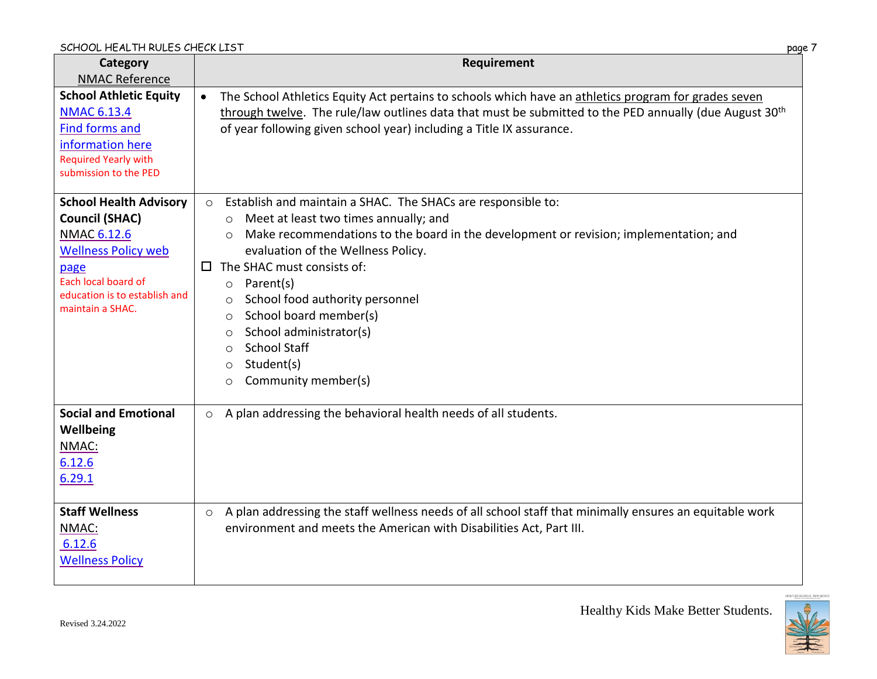| Category<br><b>NMAC Reference</b>                                                                                                                                                              | Requirement                                                                                                                                                                                                                                                                                                                                                                                                                                                                                                                                      |
|------------------------------------------------------------------------------------------------------------------------------------------------------------------------------------------------|--------------------------------------------------------------------------------------------------------------------------------------------------------------------------------------------------------------------------------------------------------------------------------------------------------------------------------------------------------------------------------------------------------------------------------------------------------------------------------------------------------------------------------------------------|
| <b>School Athletic Equity</b><br><b>NMAC 6.13.4</b><br><b>Find forms and</b><br>information here<br><b>Required Yearly with</b><br>submission to the PED                                       | The School Athletics Equity Act pertains to schools which have an athletics program for grades seven<br>$\bullet$<br>through twelve. The rule/law outlines data that must be submitted to the PED annually (due August 30 <sup>th</sup><br>of year following given school year) including a Title IX assurance.                                                                                                                                                                                                                                  |
| <b>School Health Advisory</b><br><b>Council (SHAC)</b><br><b>NMAC 6.12.6</b><br><b>Wellness Policy web</b><br>page<br>Each local board of<br>education is to establish and<br>maintain a SHAC. | Establish and maintain a SHAC. The SHACs are responsible to:<br>$\circ$<br>Meet at least two times annually; and<br>Make recommendations to the board in the development or revision; implementation; and<br>$\circ$<br>evaluation of the Wellness Policy.<br>The SHAC must consists of:<br>$\Box$<br>Parent(s)<br>$\circ$<br>School food authority personnel<br>$\circ$<br>School board member(s)<br>$\circ$<br>School administrator(s)<br>$\circ$<br><b>School Staff</b><br>$\circ$<br>Student(s)<br>$\circ$<br>Community member(s)<br>$\circ$ |
| <b>Social and Emotional</b><br>Wellbeing<br>NMAC:<br>6.12.6<br>6.29.1                                                                                                                          | A plan addressing the behavioral health needs of all students.<br>$\circ$                                                                                                                                                                                                                                                                                                                                                                                                                                                                        |
| <b>Staff Wellness</b><br>NMAC:<br>6.12.6<br><b>Wellness Policy</b>                                                                                                                             | A plan addressing the staff wellness needs of all school staff that minimally ensures an equitable work<br>$\circ$<br>environment and meets the American with Disabilities Act, Part III.                                                                                                                                                                                                                                                                                                                                                        |

画  $\sqrt{}$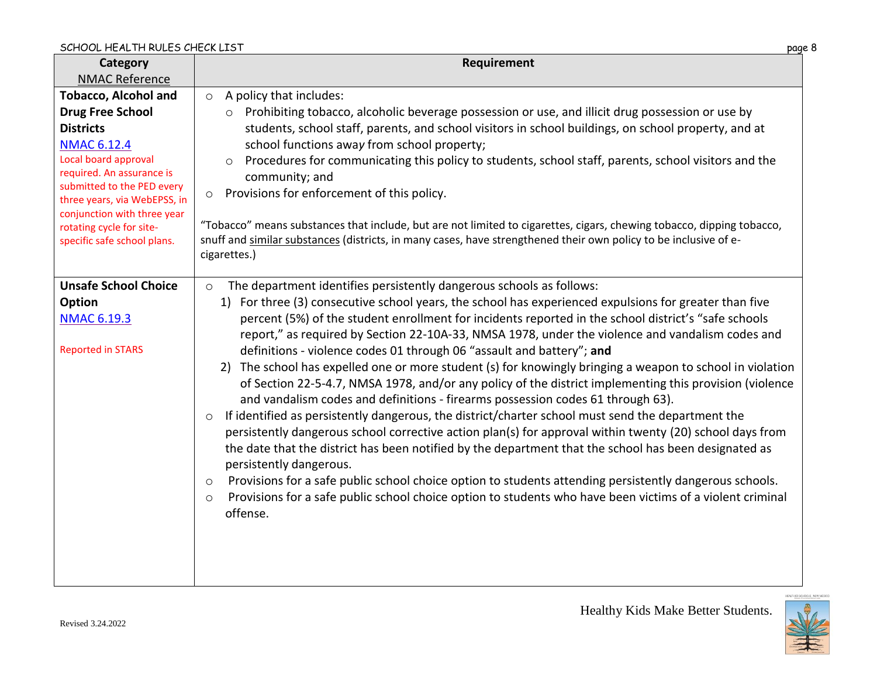| Category                                                    | Requirement                                                                                                                                                                                                                                                                                                                                                                                                                                                                                                                                                                                                 |
|-------------------------------------------------------------|-------------------------------------------------------------------------------------------------------------------------------------------------------------------------------------------------------------------------------------------------------------------------------------------------------------------------------------------------------------------------------------------------------------------------------------------------------------------------------------------------------------------------------------------------------------------------------------------------------------|
| <b>NMAC Reference</b>                                       |                                                                                                                                                                                                                                                                                                                                                                                                                                                                                                                                                                                                             |
| <b>Tobacco, Alcohol and</b>                                 | A policy that includes:<br>$\circ$                                                                                                                                                                                                                                                                                                                                                                                                                                                                                                                                                                          |
| <b>Drug Free School</b>                                     | Prohibiting tobacco, alcoholic beverage possession or use, and illicit drug possession or use by                                                                                                                                                                                                                                                                                                                                                                                                                                                                                                            |
| <b>Districts</b>                                            | students, school staff, parents, and school visitors in school buildings, on school property, and at                                                                                                                                                                                                                                                                                                                                                                                                                                                                                                        |
| <b>NMAC 6.12.4</b>                                          | school functions away from school property;                                                                                                                                                                                                                                                                                                                                                                                                                                                                                                                                                                 |
| Local board approval                                        | Procedures for communicating this policy to students, school staff, parents, school visitors and the<br>$\circ$                                                                                                                                                                                                                                                                                                                                                                                                                                                                                             |
| required. An assurance is                                   | community; and                                                                                                                                                                                                                                                                                                                                                                                                                                                                                                                                                                                              |
| submitted to the PED every                                  | Provisions for enforcement of this policy.<br>$\circ$                                                                                                                                                                                                                                                                                                                                                                                                                                                                                                                                                       |
| three years, via WebEPSS, in<br>conjunction with three year |                                                                                                                                                                                                                                                                                                                                                                                                                                                                                                                                                                                                             |
| rotating cycle for site-                                    | "Tobacco" means substances that include, but are not limited to cigarettes, cigars, chewing tobacco, dipping tobacco,                                                                                                                                                                                                                                                                                                                                                                                                                                                                                       |
| specific safe school plans.                                 | snuff and similar substances (districts, in many cases, have strengthened their own policy to be inclusive of e-                                                                                                                                                                                                                                                                                                                                                                                                                                                                                            |
|                                                             | cigarettes.)                                                                                                                                                                                                                                                                                                                                                                                                                                                                                                                                                                                                |
|                                                             |                                                                                                                                                                                                                                                                                                                                                                                                                                                                                                                                                                                                             |
| <b>Unsafe School Choice</b>                                 | The department identifies persistently dangerous schools as follows:<br>$\circ$                                                                                                                                                                                                                                                                                                                                                                                                                                                                                                                             |
| Option                                                      | 1) For three (3) consecutive school years, the school has experienced expulsions for greater than five                                                                                                                                                                                                                                                                                                                                                                                                                                                                                                      |
| <b>NMAC 6.19.3</b>                                          | percent (5%) of the student enrollment for incidents reported in the school district's "safe schools                                                                                                                                                                                                                                                                                                                                                                                                                                                                                                        |
|                                                             | report," as required by Section 22-10A-33, NMSA 1978, under the violence and vandalism codes and                                                                                                                                                                                                                                                                                                                                                                                                                                                                                                            |
| <b>Reported in STARS</b>                                    | definitions - violence codes 01 through 06 "assault and battery"; and                                                                                                                                                                                                                                                                                                                                                                                                                                                                                                                                       |
|                                                             | The school has expelled one or more student (s) for knowingly bringing a weapon to school in violation<br>2)                                                                                                                                                                                                                                                                                                                                                                                                                                                                                                |
|                                                             | of Section 22-5-4.7, NMSA 1978, and/or any policy of the district implementing this provision (violence                                                                                                                                                                                                                                                                                                                                                                                                                                                                                                     |
|                                                             | and vandalism codes and definitions - firearms possession codes 61 through 63).                                                                                                                                                                                                                                                                                                                                                                                                                                                                                                                             |
|                                                             | $\circ$                                                                                                                                                                                                                                                                                                                                                                                                                                                                                                                                                                                                     |
|                                                             |                                                                                                                                                                                                                                                                                                                                                                                                                                                                                                                                                                                                             |
|                                                             |                                                                                                                                                                                                                                                                                                                                                                                                                                                                                                                                                                                                             |
|                                                             |                                                                                                                                                                                                                                                                                                                                                                                                                                                                                                                                                                                                             |
|                                                             |                                                                                                                                                                                                                                                                                                                                                                                                                                                                                                                                                                                                             |
|                                                             |                                                                                                                                                                                                                                                                                                                                                                                                                                                                                                                                                                                                             |
|                                                             |                                                                                                                                                                                                                                                                                                                                                                                                                                                                                                                                                                                                             |
|                                                             |                                                                                                                                                                                                                                                                                                                                                                                                                                                                                                                                                                                                             |
|                                                             |                                                                                                                                                                                                                                                                                                                                                                                                                                                                                                                                                                                                             |
|                                                             |                                                                                                                                                                                                                                                                                                                                                                                                                                                                                                                                                                                                             |
|                                                             |                                                                                                                                                                                                                                                                                                                                                                                                                                                                                                                                                                                                             |
|                                                             | If identified as persistently dangerous, the district/charter school must send the department the<br>persistently dangerous school corrective action plan(s) for approval within twenty (20) school days from<br>the date that the district has been notified by the department that the school has been designated as<br>persistently dangerous.<br>Provisions for a safe public school choice option to students attending persistently dangerous schools.<br>$\circ$<br>Provisions for a safe public school choice option to students who have been victims of a violent criminal<br>$\circ$<br>offense. |

Healthy Kids Make Better Students.